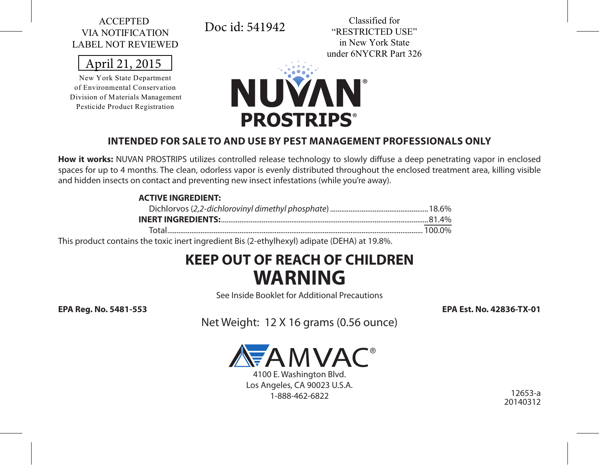#### ACCEPTED VIA NOTIFICATION LABEL NOT REVIEWED

April 21, 2015

New York State Department of Environmental Conservation Division of Materials Management Pesticide Product Registration



Classified for "RESTRICTED USE" in New York State under 6NYCRR Part 326



#### **INTENDED FOR SALE TO AND USE BY PEST MANAGEMENT PROFESSIONALS ONLY**

**How it works:** NUVAN PROSTRIPS utilizes controlled release technology to slowly diffuse a deep penetrating vapor in enclosed spaces for up to 4 months. The clean, odorless vapor is evenly distributed throughout the enclosed treatment area, killing visible and hidden insects on contact and preventing new insect infestations (while you're away).

#### **ACTIVE INGREDIENT:**

This product contains the toxic inert ingredient Bis (2-ethylhexyl) adipate (DEHA) at 19.8%.

# **KEEP OUT OF REACH OF CHILDREN WARNING**

See Inside Booklet for Additional Precautions

**EPA Reg. No. 5481-553 EPA Est. No. 42836-TX-01**

Net Weight: 12 X 16 grams (0.56 ounce)



4100 E. Washington Blvd. Los Angeles, CA 90023 U.S.A. 1-888-462-6822

12653-a 20140312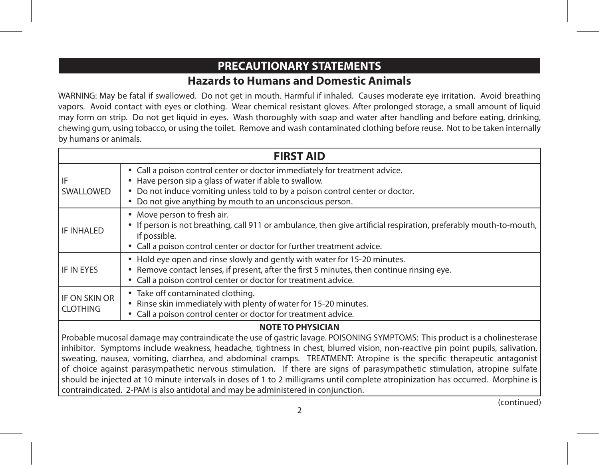## **PRECAUTIONARY STATEMENTS Hazards to Humans and Domestic Animals**

WARNING: May be fatal if swallowed. Do not get in mouth. Harmful if inhaled. Causes moderate eye irritation. Avoid breathing vapors. Avoid contact with eyes or clothing. Wear chemical resistant gloves. After prolonged storage, a small amount of liquid may form on strip. Do not get liquid in eyes. Wash thoroughly with soap and water after handling and before eating, drinking, chewing gum, using tobacco, or using the toilet. Remove and wash contaminated clothing before reuse. Not to be taken internally by humans or animals.

| <b>FIRST AID</b>                                                                                                                                                                                                                                         |                                                                                                                                                                                                                                                                                    |  |  |
|----------------------------------------------------------------------------------------------------------------------------------------------------------------------------------------------------------------------------------------------------------|------------------------------------------------------------------------------------------------------------------------------------------------------------------------------------------------------------------------------------------------------------------------------------|--|--|
| IF<br>SWALLOWED                                                                                                                                                                                                                                          | • Call a poison control center or doctor immediately for treatment advice.<br>• Have person sip a glass of water if able to swallow.<br>• Do not induce vomiting unless told to by a poison control center or doctor.<br>• Do not give anything by mouth to an unconscious person. |  |  |
| <b>IF INHALED</b>                                                                                                                                                                                                                                        | • Move person to fresh air.<br>• If person is not breathing, call 911 or ambulance, then give artificial respiration, preferably mouth-to-mouth,<br>if possible.<br>• Call a poison control center or doctor for further treatment advice.                                         |  |  |
| IF IN EYES                                                                                                                                                                                                                                               | . Hold eye open and rinse slowly and gently with water for 15-20 minutes.<br>• Remove contact lenses, if present, after the first 5 minutes, then continue rinsing eye.<br>• Call a poison control center or doctor for treatment advice.                                          |  |  |
| IF ON SKIN OR<br><b>CLOTHING</b>                                                                                                                                                                                                                         | • Take off contaminated clothing.<br>• Rinse skin immediately with plenty of water for 15-20 minutes.<br>• Call a poison control center or doctor for treatment advice.                                                                                                            |  |  |
| <b>NOTE TO PHYSICIAN</b>                                                                                                                                                                                                                                 |                                                                                                                                                                                                                                                                                    |  |  |
| Probable mucosal damage may contraindicate the use of gastric lavage. POISONING SYMPTOMS: This product is a cholinesterase                                                                                                                               |                                                                                                                                                                                                                                                                                    |  |  |
| inhibitor. Symptoms include weakness, headache, tightness in chest, blurred vision, non-reactive pin point pupils, salivation,<br>sweating, nausea, vomiting, diarrhea, and abdominal cramps. TREATMENT: Atropine is the specific therapeutic antagonist |                                                                                                                                                                                                                                                                                    |  |  |

of choice against parasympathetic nervous stimulation. If there are signs of parasympathetic stimulation, atropine sulfate should be injected at 10 minute intervals in doses of 1 to 2 milligrams until complete atropinization has occurred. Morphine is contraindicated. 2-PAM is also antidotal and may be administered in conjunction.

(continued)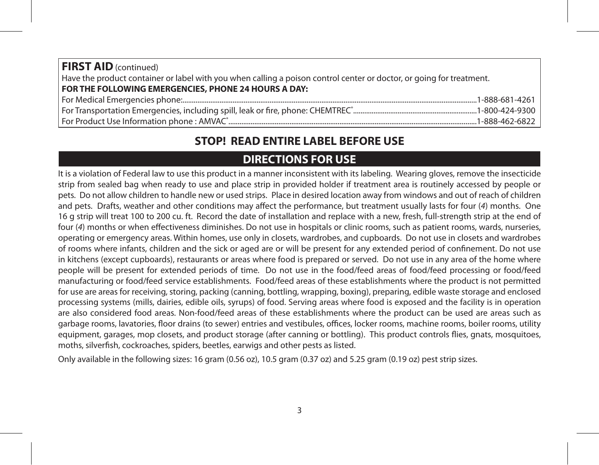| <b>FIRST AID</b> (continued)                                                                                         |  |  |
|----------------------------------------------------------------------------------------------------------------------|--|--|
| Have the product container or label with you when calling a poison control center or doctor, or going for treatment. |  |  |
| FOR THE FOLLOWING EMERGENCIES, PHONE 24 HOURS A DAY:                                                                 |  |  |
|                                                                                                                      |  |  |
|                                                                                                                      |  |  |
|                                                                                                                      |  |  |

# **STOP! READ ENTIRE LABEL BEFORE USE**

# **DIRECTIONS FOR USE**

It is a violation of Federal law to use this product in a manner inconsistent with its labeling. Wearing gloves, remove the insecticide strip from sealed bag when ready to use and place strip in provided holder if treatment area is routinely accessed by people or pets*.* Do not allow children to handle new or used strips. Place in desired location away from windows and out of reach of children and pets. Drafts, weather and other conditions may affect the performance, but treatment usually lasts for four (*4*) months. One 16 g strip will treat 100 to 200 cu. ft.Record the date of installation and replace with a new, fresh, full-strength strip at the end of four (*4*) months or when effectiveness diminishes. Do not use in hospitals or clinic rooms, such as patient rooms, wards, nurseries, operating or emergency areas. Within homes, use only in closets, wardrobes, and cupboards. Do not use in closets and wardrobes of rooms where infants, children and the sick or aged are or will be present for any extended period of confinement. Do not use in kitchens (except cupboards), restaurants or areas where food is prepared or served. Do not use in any area of the home where people will be present for extended periods of time. Do not use in the food/feed areas of food/feed processing or food/feed manufacturing or food/feed service establishments. Food/feed areas of these establishments where the product is not permitted for use are areas for receiving, storing, packing (canning, bottling, wrapping, boxing), preparing, edible waste storage and enclosed processing systems (mills, dairies, edible oils, syrups) of food. Serving areas where food is exposed and the facility is in operation are also considered food areas. Non-food/feed areas of these establishments where the product can be used are areas such as garbage rooms, lavatories, floor drains (to sewer) entries and vestibules, offices, locker rooms, machine rooms, boiler rooms, utility equipment, garages, mop closets, and product storage (after canning or bottling). This product controls flies, gnats, mosquitoes, moths, silverfish, cockroaches, spiders, beetles, earwigs and other pests as listed.

Only available in the following sizes: 16 gram (0.56 oz), 10.5 gram (0.37 oz) and 5.25 gram (0.19 oz) pest strip sizes.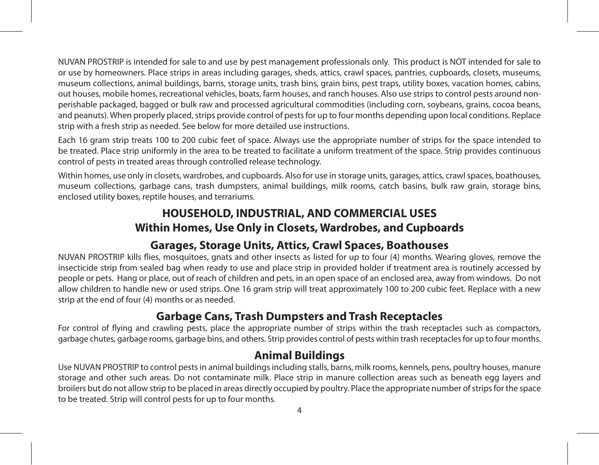NUVAN PROSTRIP is intended for sale to and use by pest management professionals only. This product is NOT intended for sale to or use by homeowners. Place strips in areas including garages, sheds, attics, crawl spaces, pantries, cupboards, closets, museums, museum collections, animal buildings, barns, storage units, trash bins, grain bins, pest traps, utility boxes, vacation homes, cabins, out houses, mobile homes, recreational vehicles, boats, farm houses, and ranch houses. Also use strips to control pests around nonperishable packaged, bagged or bulk raw and processed agricultural commodities (including corn, soybeans, grains, cocoa beans, and peanuts). When properly placed, strips provide control of pests for up to four months depending upon local conditions. Replace strip with a fresh strip as needed. See below for more detailed use instructions.

Each 16 gram strip treats 100 to 200 cubic feet of space. Always use the appropriate number of strips for the space intended to be treated. Place strip uniformly in the area to be treated to facilitate a uniform treatment of the space. Strip provides continuous control of pests in treated areas through controlled release technology.

Within homes, use only in closets, wardrobes, and cupboards. Also for use in storage units, garages, attics, crawl spaces, boathouses, museum collections, garbage cans, trash dumpsters, animal buildings, milk rooms, catch basins, bulk raw grain, storage bins, enclosed utility boxes, reptile houses, and terrariums.

## **HOUSEHOLD, INDUSTRIAL, AND COMMERCIAL USES Within Homes, Use Only in Closets, Wardrobes, and Cupboards**

# **Garages, Storage Units, Attics, Crawl Spaces, Boathouses**

NUVAN PROSTRIP kills flies, mosquitoes, gnats and other insects as listed for up to four (4) months. Wearing gloves, remove the insecticide strip from sealed bag when ready to use and place strip in provided holder if treatment area is routinely accessed by people or pets. Hang or place, out of reach of children and pets, in an open space of an enclosed area, away from windows. Do not allow children to handle new or used strips. One 16 gram strip will treat approximately 100 to 200 cubic feet. Replace with a new strip at the end of four (4) months or as needed.

# **Garbage Cans, Trash Dumpsters and Trash Receptacles**

For control of flying and crawling pests, place the appropriate number of strips within the trash receptacles such as compactors, garbage chutes, garbage rooms, garbage bins, and others. Strip provides control of pests within trash receptacles for up to four months.

## **Animal Buildings**

Use NUVAN PROSTRIP to control pests in animal buildings including stalls, barns, milk rooms, kennels, pens, poultry houses, manure storage and other such areas. Do not contaminate milk. Place strip in manure collection areas such as beneath egg layers and broilers but do not allow strip to be placed in areas directly occupied by poultry. Place the appropriate number of strips for the space to be treated. Strip will control pests for up to four months.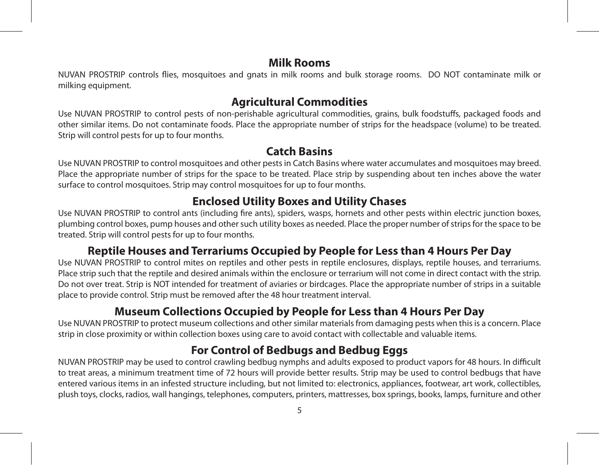## **Milk Rooms**

NUVAN PROSTRIP controls flies, mosquitoes and gnats in milk rooms and bulk storage rooms. DO NOT contaminate milk or milking equipment.

## **Agricultural Commodities**

Use NUVAN PROSTRIP to control pests of non-perishable agricultural commodities, grains, bulk foodstuffs, packaged foods and other similar items. Do not contaminate foods. Place the appropriate number of strips for the headspace (volume) to be treated. Strip will control pests for up to four months.

## **Catch Basins**

Use NUVAN PROSTRIP to control mosquitoes and other pests in Catch Basins where water accumulates and mosquitoes may breed. Place the appropriate number of strips for the space to be treated. Place strip by suspending about ten inches above the water surface to control mosquitoes. Strip may control mosquitoes for up to four months.

# **Enclosed Utility Boxes and Utility Chases**

Use NUVAN PROSTRIP to control ants (including fire ants), spiders, wasps, hornets and other pests within electric junction boxes, plumbing control boxes, pump houses and other such utility boxes as needed. Place the proper number of strips for the space to be treated. Strip will control pests for up to four months.

# **Reptile Houses and Terrariums Occupied by People for Less than 4 Hours Per Day**

Use NUVAN PROSTRIP to control mites on reptiles and other pests in reptile enclosures, displays, reptile houses, and terrariums. Place strip such that the reptile and desired animals within the enclosure or terrarium will not come in direct contact with the strip. Do not over treat. Strip is NOT intended for treatment of aviaries or birdcages. Place the appropriate number of strips in a suitable place to provide control. Strip must be removed after the 48 hour treatment interval.

# **Museum Collections Occupied by People for Less than 4 Hours Per Day**

Use NUVAN PROSTRIP to protect museum collections and other similar materials from damaging pests when this is a concern. Place strip in close proximity or within collection boxes using care to avoid contact with collectable and valuable items.

# **For Control of Bedbugs and Bedbug Eggs**

NUVAN PROSTRIP may be used to control crawling bedbug nymphs and adults exposed to product vapors for 48 hours. In difficult to treat areas, a minimum treatment time of 72 hours will provide better results. Strip may be used to control bedbugs that have entered various items in an infested structure including, but not limited to: electronics, appliances, footwear, art work, collectibles, plush toys, clocks, radios, wall hangings, telephones, computers, printers, mattresses, box springs, books, lamps, furniture and other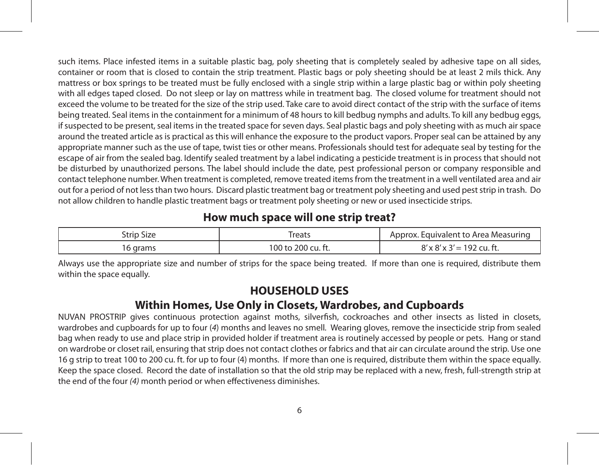such items. Place infested items in a suitable plastic bag, poly sheeting that is completely sealed by adhesive tape on all sides, container or room that is closed to contain the strip treatment. Plastic bags or poly sheeting should be at least 2 mils thick. Any mattress or box springs to be treated must be fully enclosed with a single strip within a large plastic bag or within poly sheeting with all edges taped closed. Do not sleep or lay on mattress while in treatment bag. The closed volume for treatment should not exceed the volume to be treated for the size of the strip used. Take care to avoid direct contact of the strip with the surface of items being treated. Seal items in the containment for a minimum of 48 hours to kill bedbug nymphs and adults. To kill any bedbug eggs, if suspected to be present, seal items in the treated space for seven days. Seal plastic bags and poly sheeting with as much air space around the treated article as is practical as this will enhance the exposure to the product vapors. Proper seal can be attained by any appropriate manner such as the use of tape, twist ties or other means. Professionals should test for adequate seal by testing for the escape of air from the sealed bag. Identify sealed treatment by a label indicating a pesticide treatment is in process that should not be disturbed by unauthorized persons. The label should include the date, pest professional person or company responsible and contact telephone number. When treatment is completed, remove treated items from the treatment in a well ventilated area and air out for a period of not less than two hours. Discard plastic treatment bag or treatment poly sheeting and used pest strip in trash. Do not allow children to handle plastic treatment bags or treatment poly sheeting or new or used insecticide strips.

## **How much space will one strip treat?**

| trin<br>-Size | reats             | Equivalent to Area Measuring |
|---------------|-------------------|------------------------------|
|               | i00 to 200 cu. ft |                              |

Always use the appropriate size and number of strips for the space being treated. If more than one is required, distribute them within the space equally.

## **HOUSEHOLD USES**

## **Within Homes, Use Only in Closets, Wardrobes, and Cupboards**

NUVAN PROSTRIP gives continuous protection against moths, silverfish, cockroaches and other insects as listed in closets, wardrobes and cupboards for up to four (*4*) months and leaves no smell*.* Wearing gloves, remove the insecticide strip from sealed bag when ready to use and place strip in provided holder if treatment area is routinely accessed by people or pets. Hang or stand on wardrobe or closet rail, ensuring that strip does not contact clothes or fabrics and that air can circulate around the strip. Use one 16 g strip to treat 100 to 200 cu. ft. for up to four (4) months. If more than one is required, distribute them within the space equally. Keep the space closed. Record the date of installation so that the old strip may be replaced with a new, fresh, full-strength strip at the end of the four *(4)* month period or when effectiveness diminishes.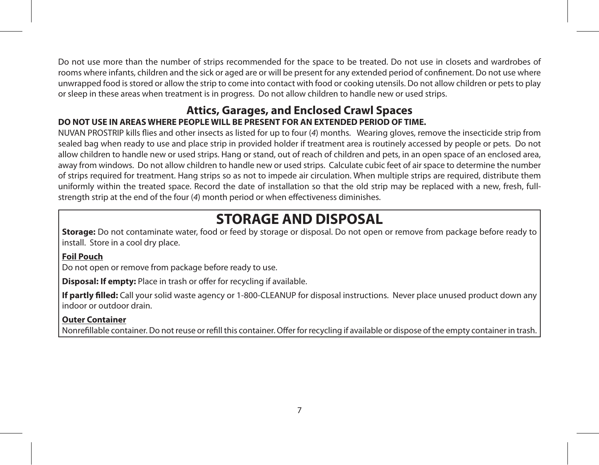Do not use more than the number of strips recommended for the space to be treated. Do not use in closets and wardrobes of rooms where infants, children and the sick or aged are or will be present for any extended period of confinement. Do not use where unwrapped food is stored or allow the strip to come into contact with food or cooking utensils. Do not allow children or pets to play or sleep in these areas when treatment is in progress. Do not allow children to handle new or used strips.

#### **Attics, Garages, and Enclosed Crawl Spaces DO NOT USE IN AREAS WHERE PEOPLE WILL BE PRESENT FOR AN EXTENDED PERIOD OF TIME.**

NUVAN PROSTRIP kills flies and other insects as listed for up to four (*4*) months. Wearing gloves, remove the insecticide strip from sealed bag when ready to use and place strip in provided holder if treatment area is routinely accessed by people or pets. Do not allow children to handle new or used strips. Hang or stand, out of reach of children and pets, in an open space of an enclosed area, away from windows. Do not allow children to handle new or used strips. Calculate cubic feet of air space to determine the number of strips required for treatment. Hang strips so as not to impede air circulation. When multiple strips are required, distribute them uniformly within the treated space. Record the date of installation so that the old strip may be replaced with a new, fresh, fullstrength strip at the end of the four (*4*) month period or when effectiveness diminishes.

# **STORAGE AND DISPOSAL**

**Storage:** Do not contaminate water, food or feed by storage or disposal. Do not open or remove from package before ready to install. Store in a cool dry place.

#### **Foil Pouch**

Do not open or remove from package before ready to use.

**Disposal: If empty:** Place in trash or offer for recycling if available.

**If partly filled:** Call your solid waste agency or 1-800-CLEANUP for disposal instructions. Never place unused product down any indoor or outdoor drain.

#### **Outer Container**

Nonrefillable container. Do not reuse or refill this container. Offer for recycling if available or dispose of the empty container in trash.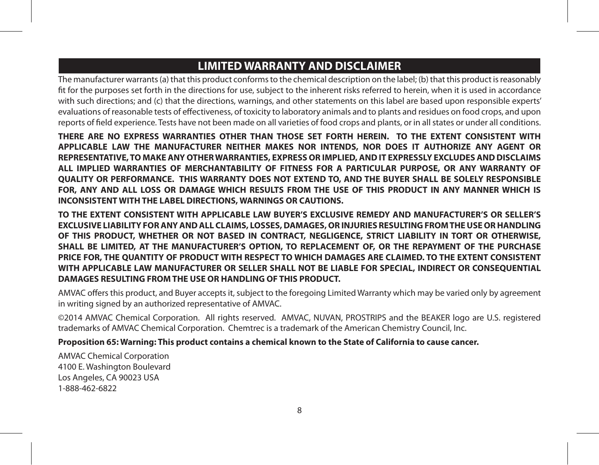# **LIMITED WARRANTY AND DISCLAIMER**

The manufacturer warrants (a) that this product conforms to the chemical description on the label; (b) that this product is reasonably fit for the purposes set forth in the directions for use, subject to the inherent risks referred to herein, when it is used in accordance with such directions; and (c) that the directions, warnings, and other statements on this label are based upon responsible experts' evaluations of reasonable tests of effectiveness, of toxicity to laboratory animals and to plants and residues on food crops, and upon reports of field experience. Tests have not been made on all varieties of food crops and plants, or in all states or under all conditions.

**THERE ARE NO EXPRESS WARRANTIES OTHER THAN THOSE SET FORTH HEREIN. TO THE EXTENT CONSISTENT WITH APPLICABLE LAW THE MANUFACTURER NEITHER MAKES NOR INTENDS, NOR DOES IT AUTHORIZE ANY AGENT OR REPRESENTATIVE, TO MAKE ANY OTHER WARRANTIES, EXPRESS OR IMPLIED, AND IT EXPRESSLY EXCLUDES AND DISCLAIMS ALL IMPLIED WARRANTIES OF MERCHANTABILITY OF FITNESS FOR A PARTICULAR PURPOSE, OR ANY WARRANTY OF QUALITY OR PERFORMANCE. THIS WARRANTY DOES NOT EXTEND TO, AND THE BUYER SHALL BE SOLELY RESPONSIBLE FOR, ANY AND ALL LOSS OR DAMAGE WHICH RESULTS FROM THE USE OF THIS PRODUCT IN ANY MANNER WHICH IS INCONSISTENT WITH THE LABEL DIRECTIONS, WARNINGS OR CAUTIONS.**

**TO THE EXTENT CONSISTENT WITH APPLICABLE LAW BUYER'S EXCLUSIVE REMEDY AND MANUFACTURER'S OR SELLER'S EXCLUSIVE LIABILITY FOR ANY AND ALL CLAIMS, LOSSES, DAMAGES, OR INJURIES RESULTING FROM THE USE OR HANDLING OF THIS PRODUCT, WHETHER OR NOT BASED IN CONTRACT, NEGLIGENCE, STRICT LIABILITY IN TORT OR OTHERWISE, SHALL BE LIMITED, AT THE MANUFACTURER'S OPTION, TO REPLACEMENT OF, OR THE REPAYMENT OF THE PURCHASE PRICE FOR, THE QUANTITY OF PRODUCT WITH RESPECT TO WHICH DAMAGES ARE CLAIMED. TO THE EXTENT CONSISTENT WITH APPLICABLE LAW MANUFACTURER OR SELLER SHALL NOT BE LIABLE FOR SPECIAL, INDIRECT OR CONSEQUENTIAL DAMAGES RESULTING FROM THE USE OR HANDLING OF THIS PRODUCT.**

AMVAC offers this product, and Buyer accepts it, subject to the foregoing Limited Warranty which may be varied only by agreement in writing signed by an authorized representative of AMVAC.

©2014 AMVAC Chemical Corporation. All rights reserved. AMVAC, NUVAN, PROSTRIPS and the BEAKER logo are U.S. registered trademarks of AMVAC Chemical Corporation. Chemtrec is a trademark of the American Chemistry Council, Inc.

#### **Proposition 65: Warning: This product contains a chemical known to the State of California to cause cancer.**

AMVAC Chemical Corporation 4100 E. Washington Boulevard Los Angeles, CA 90023 USA 1-888-462-6822